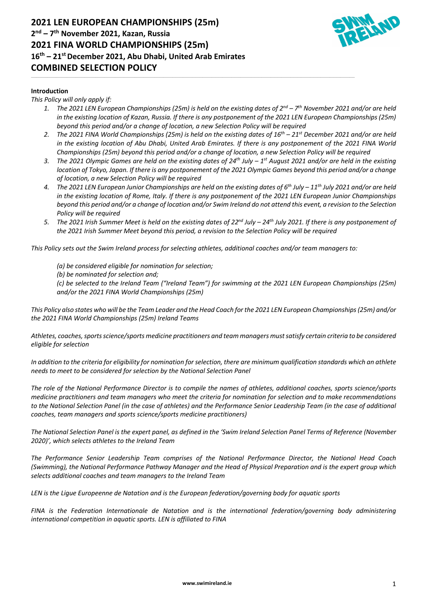

#### **Introduction**

*This Policy will only apply if:*

*1. The 2021 LEN European Championships (25m) is held on the existing dates of 2nd – 7th November 2021 and/or are held*  in the existing location of Kazan, Russia. If there is any postponement of the 2021 LEN European Championships (25m) *beyond this period and/or a change of location, a new Selection Policy will be required*

 $\_$  , and the set of the set of the set of the set of the set of the set of the set of the set of the set of the set of the set of the set of the set of the set of the set of the set of the set of the set of the set of th

- *2. The 2021 FINA World Championships (25m) is held on the existing dates of 16th – 21st December 2021 and/or are held in the existing location of Abu Dhabi, United Arab Emirates. If there is any postponement of the 2021 FINA World Championships (25m) beyond this period and/or a change of location, a new Selection Policy will be required*
- *3. The 2021 Olympic Games are held on the existing dates of 24th July – 1st August 2021 and/or are held in the existing location of Tokyo, Japan. If there is any postponement of the 2021 Olympic Games beyond this period and/or a change of location, a new Selection Policy will be required*
- *4. The 2021 LEN European Junior Championships are held on the existing dates of 6th July – 11th July 2021 and/or are held in the existing location of Rome, Italy. If there is any postponement of the 2021 LEN European Junior Championships beyond this period and/or a change of location and/or Swim Ireland do not attend this event, a revision to the Selection Policy will be required*
- *5. The 2021 Irish Summer Meet is held on the existing dates of 22nd July – 24th July 2021. If there is any postponement of the 2021 Irish Summer Meet beyond this period, a revision to the Selection Policy will be required*

*This Policy sets out the Swim Ireland process for selecting athletes, additional coaches and/or team managers to:*

- *(a) be considered eligible for nomination for selection;*
- *(b) be nominated for selection and;*

*(c) be selected to the Ireland Team ("Ireland Team") for swimming at the 2021 LEN European Championships (25m) and/or the 2021 FINA World Championships (25m)*

*This Policy also states who will be the Team Leader and the Head Coach for the 2021 LEN European Championships (25m) and/or the 2021 FINA World Championships (25m) Ireland Teams*

*Athletes, coaches, sports science/sports medicine practitioners and team managers must satisfy certain criteria to be considered eligible for selection*

*In addition to the criteria for eligibility for nomination for selection, there are minimum qualification standards which an athlete needs to meet to be considered for selection by the National Selection Panel*

*The role of the National Performance Director is to compile the names of athletes, additional coaches, sports science/sports medicine practitioners and team managers who meet the criteria for nomination for selection and to make recommendations*  to the National Selection Panel (in the case of athletes) and the Performance Senior Leadership Team (in the case of additional *coaches, team managers and sports science/sports medicine practitioners)*

*The National Selection Panel is the expert panel, as defined in the 'Swim Ireland Selection Panel Terms of Reference (November 2020)', which selects athletes to the Ireland Team*

*The Performance Senior Leadership Team comprises of the National Performance Director, the National Head Coach (Swimming), the National Performance Pathway Manager and the Head of Physical Preparation and is the expert group which selects additional coaches and team managers to the Ireland Team*

*LEN is the Ligue Europeenne de Natation and is the European federation/governing body for aquatic sports*

*FINA is the Federation Internationale de Natation and is the international federation/governing body administering international competition in aquatic sports. LEN is affiliated to FINA*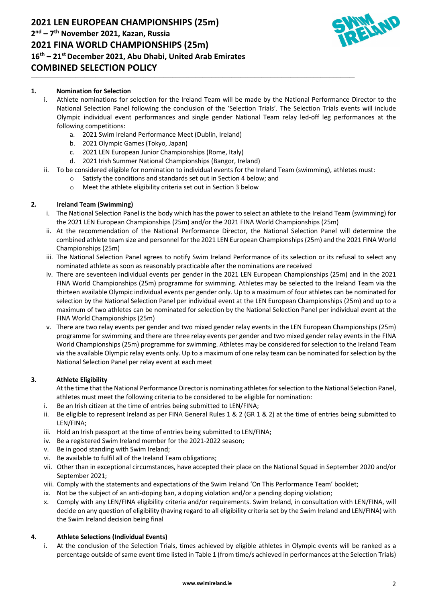

## **1. Nomination for Selection**

i. Athlete nominations for selection for the Ireland Team will be made by the National Performance Director to the National Selection Panel following the conclusion of the 'Selection Trials'. The Selection Trials events will include Olympic individual event performances and single gender National Team relay led-off leg performances at the following competitions:

 $\_$  , and the set of the set of the set of the set of the set of the set of the set of the set of the set of the set of the set of the set of the set of the set of the set of the set of the set of the set of the set of th

- a. 2021 Swim Ireland Performance Meet (Dublin, Ireland)
- b. 2021 Olympic Games (Tokyo, Japan)
- c. 2021 LEN European Junior Championships (Rome, Italy)
- d. 2021 Irish Summer National Championships (Bangor, Ireland)
- ii. To be considered eligible for nomination to individual events for the Ireland Team (swimming), athletes must:
	- o Satisfy the conditions and standards set out in Section 4 below; and
	- o Meet the athlete eligibility criteria set out in Section 3 below

### **2. Ireland Team (Swimming)**

- i. The National Selection Panel is the body which has the power to select an athlete to the Ireland Team (swimming) for the 2021 LEN European Championships (25m) and/or the 2021 FINA World Championships (25m)
- ii. At the recommendation of the National Performance Director, the National Selection Panel will determine the combined athlete team size and personnel for the 2021 LEN European Championships (25m) and the 2021 FINA World Championships (25m)
- iii. The National Selection Panel agrees to notify Swim Ireland Performance of its selection or its refusal to select any nominated athlete as soon as reasonably practicable after the nominations are received
- iv. There are seventeen individual events per gender in the 2021 LEN European Championships (25m) and in the 2021 FINA World Championships (25m) programme for swimming. Athletes may be selected to the Ireland Team via the thirteen available Olympic individual events per gender only. Up to a maximum of four athletes can be nominated for selection by the National Selection Panel per individual event at the LEN European Championships (25m) and up to a maximum of two athletes can be nominated for selection by the National Selection Panel per individual event at the FINA World Championships (25m)
- v. There are two relay events per gender and two mixed gender relay events in the LEN European Championships (25m) programme for swimming and there are three relay events per gender and two mixed gender relay events in the FINA World Championships (25m) programme for swimming. Athletes may be considered for selection to the Ireland Team via the available Olympic relay events only. Up to a maximum of one relay team can be nominated for selection by the National Selection Panel per relay event at each meet

### **3. Athlete Eligibility**

At the time that the National Performance Director is nominating athletes for selection to the National Selection Panel, athletes must meet the following criteria to be considered to be eligible for nomination:

- i. Be an Irish citizen at the time of entries being submitted to LEN/FINA;
- ii. Be eligible to represent Ireland as per FINA General Rules  $1 \& 2$  (GR  $1 \& 2$ ) at the time of entries being submitted to LEN/FINA;
- iii. Hold an Irish passport at the time of entries being submitted to LEN/FINA;
- iv. Be a registered Swim Ireland member for the 2021-2022 season;
- v. Be in good standing with Swim Ireland;
- vi. Be available to fulfil all of the Ireland Team obligations;
- vii. Other than in exceptional circumstances, have accepted their place on the National Squad in September 2020 and/or September 2021;
- viii. Comply with the statements and expectations of the Swim Ireland 'On This Performance Team' booklet;
- ix. Not be the subject of an anti-doping ban, a doping violation and/or a pending doping violation;
- x. Comply with any LEN/FINA eligibility criteria and/or requirements. Swim Ireland, in consultation with LEN/FINA, will decide on any question of eligibility (having regard to all eligibility criteria set by the Swim Ireland and LEN/FINA) with the Swim Ireland decision being final

## **4. Athlete Selections (Individual Events)**

i. At the conclusion of the Selection Trials, times achieved by eligible athletes in Olympic events will be ranked as a percentage outside of same event time listed in Table 1 (from time/s achieved in performances at the Selection Trials)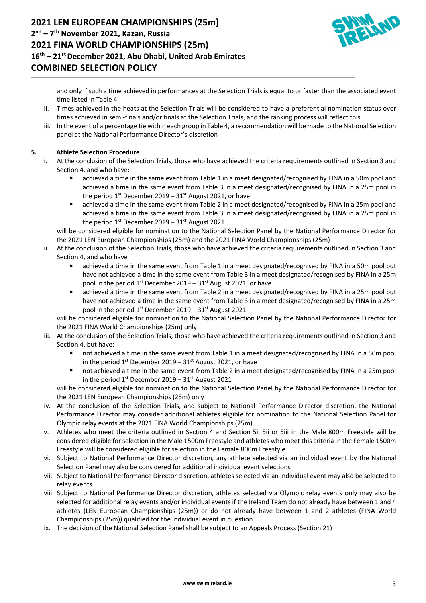

and only if such a time achieved in performances at the Selection Trials is equal to or faster than the associated event time listed in Table 4

ii. Times achieved in the heats at the Selection Trials will be considered to have a preferential nomination status over times achieved in semi-finals and/or finals at the Selection Trials, and the ranking process will reflect this

 $\_$  , and the set of the set of the set of the set of the set of the set of the set of the set of the set of the set of the set of the set of the set of the set of the set of the set of the set of the set of the set of th

iii. In the event of a percentage tie within each group in Table 4, a recommendation will be made to the National Selection panel at the National Performance Director's discretion

## **5. Athlete Selection Procedure**

- i. At the conclusion of the Selection Trials, those who have achieved the criteria requirements outlined in Section 3 and Section 4, and who have:
	- achieved a time in the same event from Table 1 in a meet designated/recognised by FINA in a 50m pool and achieved a time in the same event from Table 3 in a meet designated/recognised by FINA in a 25m pool in the period  $1^{st}$  December 2019 –  $31^{st}$  August 2021, or have
	- achieved a time in the same event from Table 2 in a meet designated/recognised by FINA in a 25m pool and achieved a time in the same event from Table 3 in a meet designated/recognised by FINA in a 25m pool in the period  $1^{st}$  December 2019 –  $31^{st}$  August 2021

will be considered eligible for nomination to the National Selection Panel by the National Performance Director for the 2021 LEN European Championships (25m) and the 2021 FINA World Championships (25m)

- ii. At the conclusion of the Selection Trials, those who have achieved the criteria requirements outlined in Section 3 and Section 4, and who have
	- achieved a time in the same event from Table 1 in a meet designated/recognised by FINA in a 50m pool but have not achieved a time in the same event from Table 3 in a meet designated/recognised by FINA in a 25m pool in the period  $1<sup>st</sup>$  December 2019 –  $31<sup>st</sup>$  August 2021, or have
	- achieved a time in the same event from Table 2 in a meet designated/recognised by FINA in a 25m pool but have not achieved a time in the same event from Table 3 in a meet designated/recognised by FINA in a 25m pool in the period  $1<sup>st</sup>$  December 2019 – 31 $<sup>st</sup>$  August 2021</sup>

will be considered eligible for nomination to the National Selection Panel by the National Performance Director for the 2021 FINA World Championships (25m) only

- iii. At the conclusion of the Selection Trials, those who have achieved the criteria requirements outlined in Section 3 and Section 4, but have:
	- not achieved a time in the same event from Table 1 in a meet designated/recognised by FINA in a 50m pool in the period  $1^{st}$  December 2019 – 31<sup>st</sup> August 2021, or have
	- not achieved a time in the same event from Table 2 in a meet designated/recognised by FINA in a 25m pool in the period  $1<sup>st</sup>$  December 2019 – 31 $<sup>st</sup>$  August 2021</sup>

will be considered eligible for nomination to the National Selection Panel by the National Performance Director for the 2021 LEN European Championships (25m) only

- iv. At the conclusion of the Selection Trials, and subject to National Performance Director discretion, the National Performance Director may consider additional athletes eligible for nomination to the National Selection Panel for Olympic relay events at the 2021 FINA World Championships (25m)
- v. Athletes who meet the criteria outlined in Section 4 and Section 5i, 5ii or 5iii in the Male 800m Freestyle will be considered eligible for selection in the Male 1500m Freestyle and athletes who meet this criteria in the Female 1500m Freestyle will be considered eligible for selection in the Female 800m Freestyle
- vi. Subject to National Performance Director discretion, any athlete selected via an individual event by the National Selection Panel may also be considered for additional individual event selections
- vii. Subject to National Performance Director discretion, athletes selected via an individual event may also be selected to relay events
- viii. Subject to National Performance Director discretion, athletes selected via Olympic relay events only may also be selected for additional relay events and/or individual events if the Ireland Team do not already have between 1 and 4 athletes (LEN European Championships (25m)) or do not already have between 1 and 2 athletes (FINA World Championships (25m)) qualified for the individual event in question
- ix. The decision of the National Selection Panel shall be subject to an Appeals Process (Section 21)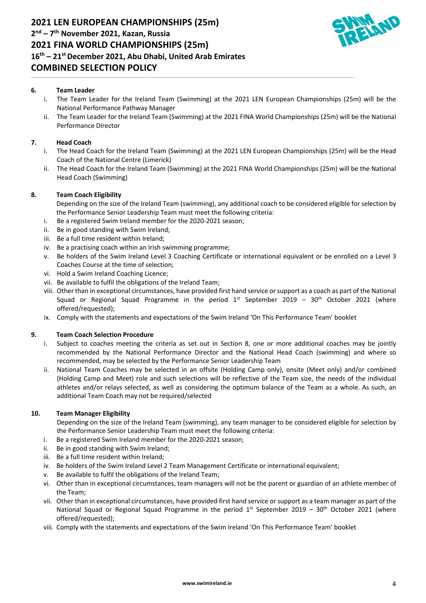

## **6. Team Leader**

i. The Team Leader for the Ireland Team (Swimming) at the 2021 LEN European Championships (25m) will be the National Performance Pathway Manager

 $\_$  , and the set of the set of the set of the set of the set of the set of the set of the set of the set of the set of the set of the set of the set of the set of the set of the set of the set of the set of the set of th

ii. The Team Leader for the Ireland Team (Swimming) at the 2021 FINA World Championships (25m) will be the National Performance Director

## **7. Head Coach**

- i. The Head Coach for the Ireland Team (Swimming) at the 2021 LEN European Championships (25m) will be the Head Coach of the National Centre (Limerick)
- ii. The Head Coach for the Ireland Team (Swimming) at the 2021 FINA World Championships (25m) will be the National Head Coach (Swimming)

## **8. Team Coach Eligibility**

Depending on the size of the Ireland Team (swimming), any additional coach to be considered eligible for selection by the Performance Senior Leadership Team must meet the following criteria:

- i. Be a registered Swim Ireland member for the 2020-2021 season;
- ii. Be in good standing with Swim Ireland;
- iii. Be a full time resident within Ireland;
- iv. Be a practising coach within an Irish swimming programme;
- v. Be holders of the Swim Ireland Level 3 Coaching Certificate or international equivalent or be enrolled on a Level 3 Coaches Course at the time of selection;
- vi. Hold a Swim Ireland Coaching Licence;
- vii. Be available to fulfil the obligations of the Ireland Team;
- viii. Other than in exceptional circumstances, have provided first hand service or support as a coach as part of the National Squad or Regional Squad Programme in the period  $1^{st}$  September 2019 – 30<sup>th</sup> October 2021 (where offered/requested);
- ix. Comply with the statements and expectations of the Swim Ireland 'On This Performance Team' booklet

### **9. Team Coach Selection Procedure**

- i. Subject to coaches meeting the criteria as set out in Section 8, one or more additional coaches may be jointly recommended by the National Performance Director and the National Head Coach (swimming) and where so recommended, may be selected by the Performance Senior Leadership Team
- ii. National Team Coaches may be selected in an offsite (Holding Camp only), onsite (Meet only) and/or combined (Holding Camp and Meet) role and such selections will be reflective of the Team size, the needs of the individual athletes and/or relays selected, as well as considering the optimum balance of the Team as a whole. As such, an additional Team Coach may not be required/selected

## **10. Team Manager Eligibility**

Depending on the size of the Ireland Team (swimming), any team manager to be considered eligible for selection by the Performance Senior Leadership Team must meet the following criteria:

- i. Be a registered Swim Ireland member for the 2020-2021 season;
- ii. Be in good standing with Swim Ireland;
- iii. Be a full time resident within Ireland;
- iv. Be holders of the Swim Ireland Level 2 Team Management Certificate or international equivalent;
- v. Be available to fulfil the obligations of the Ireland Team;
- vi. Other than in exceptional circumstances, team managers will not be the parent or guardian of an athlete member of the Team;
- vii. Other than in exceptional circumstances, have provided first hand service or support as a team manager as part of the National Squad or Regional Squad Programme in the period  $1<sup>st</sup>$  September 2019 – 30<sup>th</sup> October 2021 (where offered/requested);
- viii. Comply with the statements and expectations of the Swim Ireland 'On This Performance Team' booklet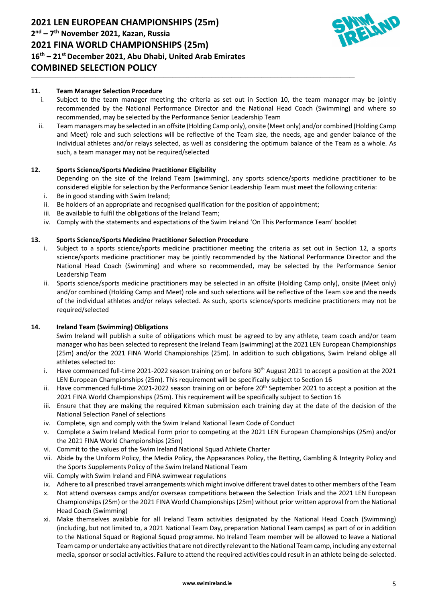

## **11. Team Manager Selection Procedure**

i. Subject to the team manager meeting the criteria as set out in Section 10, the team manager may be jointly recommended by the National Performance Director and the National Head Coach (Swimming) and where so recommended, may be selected by the Performance Senior Leadership Team

 $\_$  , and the set of the set of the set of the set of the set of the set of the set of the set of the set of the set of the set of the set of the set of the set of the set of the set of the set of the set of the set of th

ii. Team managers may be selected in an offsite (Holding Camp only), onsite (Meet only) and/or combined (Holding Camp and Meet) role and such selections will be reflective of the Team size, the needs, age and gender balance of the individual athletes and/or relays selected, as well as considering the optimum balance of the Team as a whole. As such, a team manager may not be required/selected

## **12. Sports Science/Sports Medicine Practitioner Eligibility**

Depending on the size of the Ireland Team (swimming), any sports science/sports medicine practitioner to be considered eligible for selection by the Performance Senior Leadership Team must meet the following criteria:

- i. Be in good standing with Swim Ireland;
- ii. Be holders of an appropriate and recognised qualification for the position of appointment;
- iii. Be available to fulfil the obligations of the Ireland Team;
- iv. Comply with the statements and expectations of the Swim Ireland 'On This Performance Team' booklet

## **13. Sports Science/Sports Medicine Practitioner Selection Procedure**

- i. Subject to a sports science/sports medicine practitioner meeting the criteria as set out in Section 12, a sports science/sports medicine practitioner may be jointly recommended by the National Performance Director and the National Head Coach (Swimming) and where so recommended, may be selected by the Performance Senior Leadership Team
- ii. Sports science/sports medicine practitioners may be selected in an offsite (Holding Camp only), onsite (Meet only) and/or combined (Holding Camp and Meet) role and such selections will be reflective of the Team size and the needs of the individual athletes and/or relays selected. As such, sports science/sports medicine practitioners may not be required/selected

### **14. Ireland Team (Swimming) Obligations**

Swim Ireland will publish a suite of obligations which must be agreed to by any athlete, team coach and/or team manager who has been selected to represent the Ireland Team (swimming) at the 2021 LEN European Championships (25m) and/or the 2021 FINA World Championships (25m). In addition to such obligations, Swim Ireland oblige all athletes selected to:

- i. Have commenced full-time 2021-2022 season training on or before 30<sup>th</sup> August 2021 to accept a position at the 2021 LEN European Championships (25m). This requirement will be specifically subject to Section 16
- ii. Have commenced full-time 2021-2022 season training on or before 20<sup>th</sup> September 2021 to accept a position at the 2021 FINA World Championships (25m). This requirement will be specifically subject to Section 16
- iii. Ensure that they are making the required Kitman submission each training day at the date of the decision of the National Selection Panel of selections
- iv. Complete, sign and comply with the Swim Ireland National Team Code of Conduct
- v. Complete a Swim Ireland Medical Form prior to competing at the 2021 LEN European Championships (25m) and/or the 2021 FINA World Championships (25m)
- vi. Commit to the values of the Swim Ireland National Squad Athlete Charter
- vii. Abide by the Uniform Policy, the Media Policy, the Appearances Policy, the Betting, Gambling & Integrity Policy and the Sports Supplements Policy of the Swim Ireland National Team
- viii. Comply with Swim Ireland and FINA swimwear regulations
- ix. Adhere to all prescribed travel arrangements which might involve different travel dates to other members of the Team
- x. Not attend overseas camps and/or overseas competitions between the Selection Trials and the 2021 LEN European Championships (25m) or the 2021 FINA World Championships (25m) without prior written approval from the National Head Coach (Swimming)
- xi. Make themselves available for all Ireland Team activities designated by the National Head Coach (Swimming) (including, but not limited to, a 2021 National Team Day, preparation National Team camps) as part of or in addition to the National Squad or Regional Squad programme. No Ireland Team member will be allowed to leave a National Team camp or undertake any activities that are not directly relevant to the National Team camp, including any external media, sponsor or social activities. Failure to attend the required activities could result in an athlete being de-selected.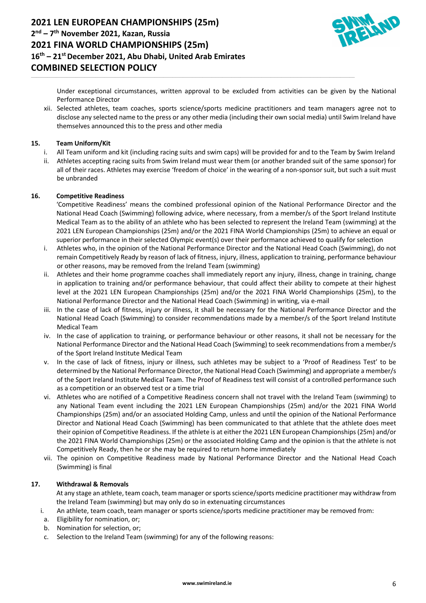

Under exceptional circumstances, written approval to be excluded from activities can be given by the National Performance Director

xii. Selected athletes, team coaches, sports science/sports medicine practitioners and team managers agree not to disclose any selected name to the press or any other media (including their own social media) until Swim Ireland have themselves announced this to the press and other media

 $\_$  , and the set of the set of the set of the set of the set of the set of the set of the set of the set of the set of the set of the set of the set of the set of the set of the set of the set of the set of the set of th

## **15. Team Uniform/Kit**

- i. All Team uniform and kit (including racing suits and swim caps) will be provided for and to the Team by Swim Ireland
- ii. Athletes accepting racing suits from Swim Ireland must wear them (or another branded suit of the same sponsor) for all of their races. Athletes may exercise 'freedom of choice' in the wearing of a non-sponsor suit, but such a suit must be unbranded

### **16. Competitive Readiness**

'Competitive Readiness' means the combined professional opinion of the National Performance Director and the National Head Coach (Swimming) following advice, where necessary, from a member/s of the Sport Ireland Institute Medical Team as to the ability of an athlete who has been selected to represent the Ireland Team (swimming) at the 2021 LEN European Championships (25m) and/or the 2021 FINA World Championships (25m) to achieve an equal or superior performance in their selected Olympic event(s) over their performance achieved to qualify for selection

- i. Athletes who, in the opinion of the National Performance Director and the National Head Coach (Swimming), do not remain Competitively Ready by reason of lack of fitness, injury, illness, application to training, performance behaviour or other reasons, may be removed from the Ireland Team (swimming)
- ii. Athletes and their home programme coaches shall immediately report any injury, illness, change in training, change in application to training and/or performance behaviour, that could affect their ability to compete at their highest level at the 2021 LEN European Championships (25m) and/or the 2021 FINA World Championships (25m), to the National Performance Director and the National Head Coach (Swimming) in writing, via e-mail
- iii. In the case of lack of fitness, injury or illness, it shall be necessary for the National Performance Director and the National Head Coach (Swimming) to consider recommendations made by a member/s of the Sport Ireland Institute Medical Team
- iv. In the case of application to training, or performance behaviour or other reasons, it shall not be necessary for the National Performance Director and the National Head Coach (Swimming) to seek recommendations from a member/s of the Sport Ireland Institute Medical Team
- v. In the case of lack of fitness, injury or illness, such athletes may be subject to a 'Proof of Readiness Test' to be determined by the National Performance Director, the National Head Coach (Swimming) and appropriate a member/s of the Sport Ireland Institute Medical Team. The Proof of Readiness test will consist of a controlled performance such as a competition or an observed test or a time trial
- vi. Athletes who are notified of a Competitive Readiness concern shall not travel with the Ireland Team (swimming) to any National Team event including the 2021 LEN European Championships (25m) and/or the 2021 FINA World Championships (25m) and/or an associated Holding Camp, unless and until the opinion of the National Performance Director and National Head Coach (Swimming) has been communicated to that athlete that the athlete does meet their opinion of Competitive Readiness. If the athlete is at either the 2021 LEN European Championships (25m) and/or the 2021 FINA World Championships (25m) or the associated Holding Camp and the opinion is that the athlete is not Competitively Ready, then he or she may be required to return home immediately
- vii. The opinion on Competitive Readiness made by National Performance Director and the National Head Coach (Swimming) is final

### **17. Withdrawal & Removals**

At any stage an athlete, team coach, team manager or sports science/sports medicine practitioner may withdraw from the Ireland Team (swimming) but may only do so in extenuating circumstances

- i. An athlete, team coach, team manager or sports science/sports medicine practitioner may be removed from:
- a. Eligibility for nomination, or;
- b. Nomination for selection, or;
- c. Selection to the Ireland Team (swimming) for any of the following reasons: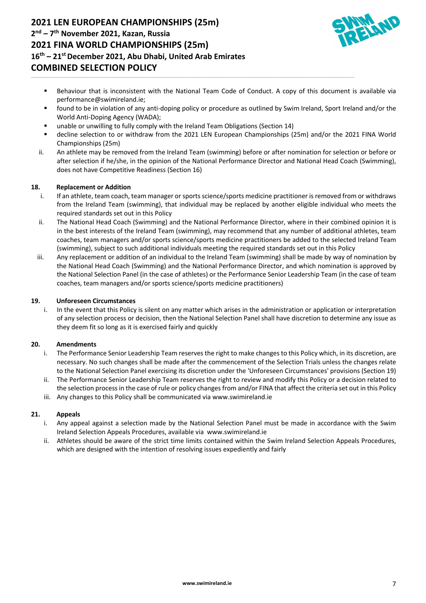

Behaviour that is inconsistent with the National Team Code of Conduct. A copy of this document is available via performance@swimireland.ie;

 $\_$  , and the set of the set of the set of the set of the set of the set of the set of the set of the set of the set of the set of the set of the set of the set of the set of the set of the set of the set of the set of th

- § found to be in violation of any anti-doping policy or procedure as outlined by Swim Ireland, Sport Ireland and/or the World Anti-Doping Agency (WADA);
- § unable or unwilling to fully comply with the Ireland Team Obligations (Section 14)
- decline selection to or withdraw from the 2021 LEN European Championships (25m) and/or the 2021 FINA World Championships (25m)
- ii. An athlete may be removed from the Ireland Team (swimming) before or after nomination for selection or before or after selection if he/she, in the opinion of the National Performance Director and National Head Coach (Swimming), does not have Competitive Readiness (Section 16)

## **18. Replacement or Addition**

- i. If an athlete, team coach, team manager or sports science/sports medicine practitioner is removed from or withdraws from the Ireland Team (swimming), that individual may be replaced by another eligible individual who meets the required standards set out in this Policy
- ii. The National Head Coach (Swimming) and the National Performance Director, where in their combined opinion it is in the best interests of the Ireland Team (swimming), may recommend that any number of additional athletes, team coaches, team managers and/or sports science/sports medicine practitioners be added to the selected Ireland Team (swimming), subject to such additional individuals meeting the required standards set out in this Policy
- iii. Any replacement or addition of an individual to the Ireland Team (swimming) shall be made by way of nomination by the National Head Coach (Swimming) and the National Performance Director, and which nomination is approved by the National Selection Panel (in the case of athletes) or the Performance Senior Leadership Team (in the case of team coaches, team managers and/or sports science/sports medicine practitioners)

## **19. Unforeseen Circumstances**

i. In the event that this Policy is silent on any matter which arises in the administration or application or interpretation of any selection process or decision, then the National Selection Panel shall have discretion to determine any issue as they deem fit so long as it is exercised fairly and quickly

### **20. Amendments**

- i. The Performance Senior Leadership Team reserves the right to make changes to this Policy which, in its discretion, are necessary. No such changes shall be made after the commencement of the Selection Trials unless the changes relate to the National Selection Panel exercising its discretion under the 'Unforeseen Circumstances' provisions (Section 19)
- ii. The Performance Senior Leadership Team reserves the right to review and modify this Policy or a decision related to the selection process in the case of rule or policy changes from and/or FINA that affect the criteria set out in this Policy
- iii. Any changes to this Policy shall be communicated via www.swimireland.ie

### **21. Appeals**

- i. Any appeal against a selection made by the National Selection Panel must be made in accordance with the Swim Ireland Selection Appeals Procedures, available via www.swimireland.ie
- ii. Athletes should be aware of the strict time limits contained within the Swim Ireland Selection Appeals Procedures, which are designed with the intention of resolving issues expediently and fairly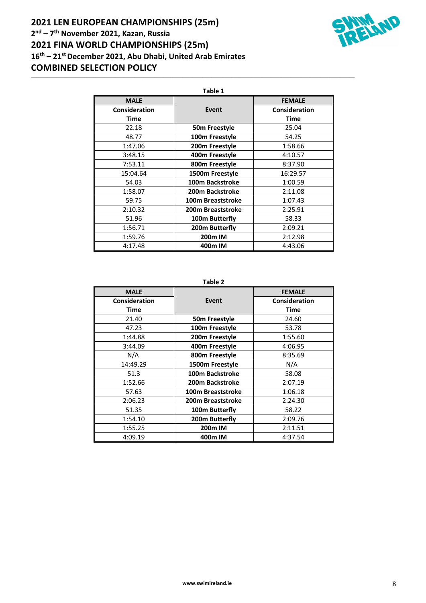# **2021 LEN EUROPEAN CHAMPIONSHIPS (25m) 2nd – 7th November 2021, Kazan, Russia 2021 FINA WORLD CHAMPIONSHIPS (25m) 16th – 21st December 2021, Abu Dhabi, United Arab Emirates COMBINED SELECTION POLICY**



| Table 1       |                          |               |  |  |  |  |  |
|---------------|--------------------------|---------------|--|--|--|--|--|
| <b>MALE</b>   |                          | <b>FEMALE</b> |  |  |  |  |  |
| Consideration | Event                    | Consideration |  |  |  |  |  |
| Time          |                          | <b>Time</b>   |  |  |  |  |  |
| 22.18         | 50m Freestyle            | 25.04         |  |  |  |  |  |
| 48.77         | 100m Freestyle           | 54.25         |  |  |  |  |  |
| 1:47.06       | 200m Freestyle           | 1:58.66       |  |  |  |  |  |
| 3:48.15       | 400m Freestyle           | 4:10.57       |  |  |  |  |  |
| 7:53.11       | 800m Freestyle           | 8:37.90       |  |  |  |  |  |
| 15:04.64      | 1500m Freestyle          | 16:29.57      |  |  |  |  |  |
| 54.03         | 100m Backstroke          | 1:00.59       |  |  |  |  |  |
| 1:58.07       | 200m Backstroke          | 2:11.08       |  |  |  |  |  |
| 59.75         | <b>100m Breaststroke</b> | 1:07.43       |  |  |  |  |  |
| 2:10.32       | 200m Breaststroke        | 2:25.91       |  |  |  |  |  |
| 51.96         | 100m Butterfly           | 58.33         |  |  |  |  |  |
| 1:56.71       | 200m Butterfly           | 2:09.21       |  |  |  |  |  |
| 1:59.76       | 200m IM                  | 2:12.98       |  |  |  |  |  |
| 4:17.48       | 400m IM                  | 4:43.06       |  |  |  |  |  |

 $\_$  , and the set of the set of the set of the set of the set of the set of the set of the set of the set of the set of the set of the set of the set of the set of the set of the set of the set of the set of the set of th

**Table 2**

| <b>MALE</b>   |                          | <b>FEMALE</b> |  |
|---------------|--------------------------|---------------|--|
| Consideration | Event                    | Consideration |  |
| Time          |                          | Time          |  |
| 21.40         | 50m Freestyle            | 24.60         |  |
| 47.23         | 100m Freestyle           | 53.78         |  |
| 1:44.88       | 200m Freestyle           | 1:55.60       |  |
| 3:44.09       | 400m Freestyle           | 4:06.95       |  |
| N/A           | 800m Freestyle           | 8:35.69       |  |
| 14:49.29      | 1500m Freestyle          | N/A           |  |
| 51.3          | 100m Backstroke          | 58.08         |  |
| 1:52.66       | 200m Backstroke          | 2:07.19       |  |
| 57.63         | 100m Breaststroke        | 1:06.18       |  |
| 2:06.23       | <b>200m Breaststroke</b> | 2:24.30       |  |
| 51.35         | 100m Butterfly           | 58.22         |  |
| 1:54.10       | 200m Butterfly           | 2:09.76       |  |
| 1:55.25       | 200m IM                  | 2:11.51       |  |
| 4:09.19       | 400m IM                  | 4:37.54       |  |